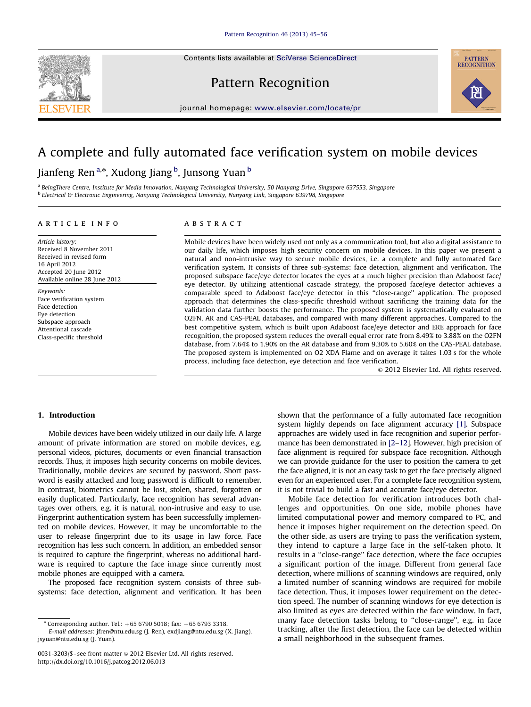Contents lists available at [SciVerse ScienceDirect](www.elsevier.com/locate/pr)



Pattern Recognition



journal homepage: <www.elsevier.com/locate/pr>

# A complete and fully automated face verification system on mobile devices

Jianfeng Ren<sup>a,</sup>\*, Xudong Jiang <sup>b</sup>, Junsong Yuan <sup>b</sup>

a BeingThere Centre, Institute for Media Innovation, Nanyang Technological University, 50 Nanyang Drive, Singapore 637553, Singapore <sup>b</sup> Electrical & Electronic Engineering, Nanyang Technological University, Nanyang Link, Singapore 639798, Singapore

#### article info

Article history: Received 8 November 2011 Received in revised form 16 April 2012 Accepted 20 June 2012 Available online 28 June 2012

Keywords: Face verification system Face detection Eye detection Subspace approach Attentional cascade Class-specific threshold

# ABSTRACT

Mobile devices have been widely used not only as a communication tool, but also a digital assistance to our daily life, which imposes high security concern on mobile devices. In this paper we present a natural and non-intrusive way to secure mobile devices, i.e. a complete and fully automated face verification system. It consists of three sub-systems: face detection, alignment and verification. The proposed subspace face/eye detector locates the eyes at a much higher precision than Adaboost face/ eye detector. By utilizing attentional cascade strategy, the proposed face/eye detector achieves a comparable speed to Adaboost face/eye detector in this ''close-range'' application. The proposed approach that determines the class-specific threshold without sacrificing the training data for the validation data further boosts the performance. The proposed system is systematically evaluated on O2FN, AR and CAS-PEAL databases, and compared with many different approaches. Compared to the best competitive system, which is built upon Adaboost face/eye detector and ERE approach for face recognition, the proposed system reduces the overall equal error rate from 8.49% to 3.88% on the O2FN database, from 7.64% to 1.90% on the AR database and from 9.30% to 5.60% on the CAS-PEAL database. The proposed system is implemented on O2 XDA Flame and on average it takes 1.03 s for the whole process, including face detection, eye detection and face verification.

 $\odot$  2012 Elsevier Ltd. All rights reserved.

# 1. Introduction

Mobile devices have been widely utilized in our daily life. A large amount of private information are stored on mobile devices, e.g. personal videos, pictures, documents or even financial transaction records. Thus, it imposes high security concerns on mobile devices. Traditionally, mobile devices are secured by password. Short password is easily attacked and long password is difficult to remember. In contrast, biometrics cannot be lost, stolen, shared, forgotten or easily duplicated. Particularly, face recognition has several advantages over others, e.g. it is natural, non-intrusive and easy to use. Fingerprint authentication system has been successfully implemented on mobile devices. However, it may be uncomfortable to the user to release fingerprint due to its usage in law force. Face recognition has less such concern. In addition, an embedded sensor is required to capture the fingerprint, whereas no additional hardware is required to capture the face image since currently most mobile phones are equipped with a camera.

The proposed face recognition system consists of three subsystems: face detection, alignment and verification. It has been

 $*$  Corresponding author. Tel.:  $+65 6790 5018$ ; fax:  $+65 6793 3318$ .

E-mail addresses: [jfren@ntu.edu.sg \(J. Ren\),](mailto:jfren@ntu.edu.sg) [exdjiang@ntu.edu.sg \(X. Jiang\)](mailto:exdjiang@ntu.edu.sg), [jsyuan@ntu.edu.sg \(J. Yuan\).](mailto:jsyuan@ntu.edu.sg)

shown that the performance of a fully automated face recognition system highly depends on face alignment accuracy [\[1\].](#page-10-0) Subspace approaches are widely used in face recognition and superior performance has been demonstrated in [\[2](#page-10-0)[–12](#page-11-0)]. However, high precision of face alignment is required for subspace face recognition. Although we can provide guidance for the user to position the camera to get the face aligned, it is not an easy task to get the face precisely aligned even for an experienced user. For a complete face recognition system, it is not trivial to build a fast and accurate face/eye detector.

Mobile face detection for verification introduces both challenges and opportunities. On one side, mobile phones have limited computational power and memory compared to PC, and hence it imposes higher requirement on the detection speed. On the other side, as users are trying to pass the verification system, they intend to capture a large face in the self-taken photo. It results in a ''close-range'' face detection, where the face occupies a significant portion of the image. Different from general face detection, where millions of scanning windows are required, only a limited number of scanning windows are required for mobile face detection. Thus, it imposes lower requirement on the detection speed. The number of scanning windows for eye detection is also limited as eyes are detected within the face window. In fact, many face detection tasks belong to ''close-range'', e.g. in face tracking, after the first detection, the face can be detected within a small neighborhood in the subsequent frames.

<sup>0031-3203/\$-</sup> see front matter @ 2012 Elsevier Ltd. All rights reserved. [http://dx.doi.org/10.1016/j.patcog.2012.06.013](dx.doi.org/10.1016/j.patcog.2012.06.013)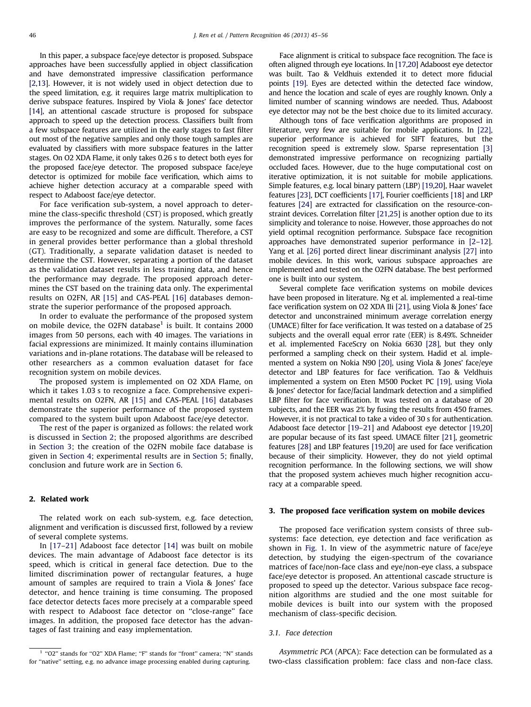<span id="page-1-0"></span>In this paper, a subspace face/eye detector is proposed. Subspace approaches have been successfully applied in object classification and have demonstrated impressive classification performance [\[2](#page-10-0)[,13](#page-11-0)]. However, it is not widely used in object detection due to the speed limitation, e.g. it requires large matrix multiplication to derive subspace features. Inspired by Viola & Jones' face detector [\[14\],](#page-11-0) an attentional cascade structure is proposed for subspace approach to speed up the detection process. Classifiers built from a few subspace features are utilized in the early stages to fast filter out most of the negative samples and only those tough samples are evaluated by classifiers with more subspace features in the latter stages. On O2 XDA Flame, it only takes 0.26 s to detect both eyes for the proposed face/eye detector. The proposed subspace face/eye detector is optimized for mobile face verification, which aims to achieve higher detection accuracy at a comparable speed with respect to Adaboost face/eye detector.

For face verification sub-system, a novel approach to determine the class-specific threshold (CST) is proposed, which greatly improves the performance of the system. Naturally, some faces are easy to be recognized and some are difficult. Therefore, a CST in general provides better performance than a global threshold (GT). Traditionally, a separate validation dataset is needed to determine the CST. However, separating a portion of the dataset as the validation dataset results in less training data, and hence the performance may degrade. The proposed approach determines the CST based on the training data only. The experimental results on O2FN, AR [\[15\]](#page-11-0) and CAS-PEAL [\[16\]](#page-11-0) databases demonstrate the superior performance of the proposed approach.

In order to evaluate the performance of the proposed system on mobile device, the O2FN database<sup>1</sup> is built. It contains 2000 images from 50 persons, each with 40 images. The variations in facial expressions are minimized. It mainly contains illumination variations and in-plane rotations. The database will be released to other researchers as a common evaluation dataset for face recognition system on mobile devices.

The proposed system is implemented on O2 XDA Flame, on which it takes 1.03 s to recognize a face. Comprehensive experimental results on O2FN, AR [\[15\]](#page-11-0) and CAS-PEAL [\[16\]](#page-11-0) databases demonstrate the superior performance of the proposed system compared to the system built upon Adaboost face/eye detector.

The rest of the paper is organized as follows: the related work is discussed in Section 2; the proposed algorithms are described in Section 3; the creation of the O2FN mobile face database is given in [Section 4;](#page-5-0) experimental results are in [Section 5;](#page-5-0) finally, conclusion and future work are in [Section 6.](#page-10-0)

## 2. Related work

The related work on each sub-system, e.g. face detection, alignment and verification is discussed first, followed by a review of several complete systems.

In [\[17–21](#page-11-0)] Adaboost face detector [\[14\]](#page-11-0) was built on mobile devices. The main advantage of Adaboost face detector is its speed, which is critical in general face detection. Due to the limited discrimination power of rectangular features, a huge amount of samples are required to train a Viola & Jones' face detector, and hence training is time consuming. The proposed face detector detects faces more precisely at a comparable speed with respect to Adaboost face detector on ''close-range'' face images. In addition, the proposed face detector has the advantages of fast training and easy implementation.

Face alignment is critical to subspace face recognition. The face is often aligned through eye locations. In [\[17,20](#page-11-0)] Adaboost eye detector was built. Tao & Veldhuis extended it to detect more fiducial points [\[19\].](#page-11-0) Eyes are detected within the detected face window, and hence the location and scale of eyes are roughly known. Only a limited number of scanning windows are needed. Thus, Adaboost eye detector may not be the best choice due to its limited accuracy.

Although tons of face verification algorithms are proposed in literature, very few are suitable for mobile applications. In [\[22\],](#page-11-0) superior performance is achieved for SIFT features, but the recognition speed is extremely slow. Sparse representation [\[3\]](#page-10-0) demonstrated impressive performance on recognizing partially occluded faces. However, due to the huge computational cost on iterative optimization, it is not suitable for mobile applications. Simple features, e.g. local binary pattern (LBP) [\[19,20\]](#page-11-0), Haar wavelet features [\[23\],](#page-11-0) DCT coefficients [\[17\]](#page-11-0), Fourier coefficients [\[18\]](#page-11-0) and LRP features [\[24\]](#page-11-0) are extracted for classification on the resource-constraint devices. Correlation filter [\[21,25](#page-11-0)] is another option due to its simplicity and tolerance to noise. However, those approaches do not yield optimal recognition performance. Subspace face recognition approaches have demonstrated superior performance in [\[2–](#page-10-0)[12\]](#page-11-0). Yang et al. [\[26\]](#page-11-0) ported direct linear discriminant analysis [\[27\]](#page-11-0) into mobile devices. In this work, various subspace approaches are implemented and tested on the O2FN database. The best performed one is built into our system.

Several complete face verification systems on mobile devices have been proposed in literature. Ng et al. implemented a real-time face verification system on O2 XDA IIi [\[21\],](#page-11-0) using Viola & Jones' face detector and unconstrained minimum average correlation energy (UMACE) filter for face verification. It was tested on a database of 25 subjects and the overall equal error rate (EER) is 8.49%. Schneider et al. implemented FaceScry on Nokia 6630 [\[28\],](#page-11-0) but they only performed a sampling check on their system. Hadid et al. implemented a system on Nokia N90 [\[20\],](#page-11-0) using Viola & Jones' face/eye detector and LBP features for face verification. Tao & Veldhuis implemented a system on Eten M500 Pocket PC [\[19\]](#page-11-0), using Viola & Jones' detector for face/facial landmark detection and a simplified LBP filter for face verification. It was tested on a database of 20 subjects, and the EER was 2% by fusing the results from 450 frames. However, it is not practical to take a video of 30 s for authentication. Adaboost face detector [\[19–21\]](#page-11-0) and Adaboost eye detector [\[19,20\]](#page-11-0) are popular because of its fast speed. UMACE filter [\[21\],](#page-11-0) geometric features [\[28\]](#page-11-0) and LBP features [\[19,20](#page-11-0)] are used for face verification because of their simplicity. However, they do not yield optimal recognition performance. In the following sections, we will show that the proposed system achieves much higher recognition accuracy at a comparable speed.

#### 3. The proposed face verification system on mobile devices

The proposed face verification system consists of three subsystems: face detection, eye detection and face verification as shown in [Fig. 1](#page-2-0). In view of the asymmetric nature of face/eye detection, by studying the eigen-spectrum of the covariance matrices of face/non-face class and eye/non-eye class, a subspace face/eye detector is proposed. An attentional cascade structure is proposed to speed up the detector. Various subspace face recognition algorithms are studied and the one most suitable for mobile devices is built into our system with the proposed mechanism of class-specific decision.

#### 3.1. Face detection

Asymmetric PCA (APCA): Face detection can be formulated as a two-class classification problem: face class and non-face class.

<sup>&</sup>lt;sup>1</sup> "O2" stands for "O2" XDA Flame; "F" stands for "front" camera; "N" stands for ''native'' setting, e.g. no advance image processing enabled during capturing.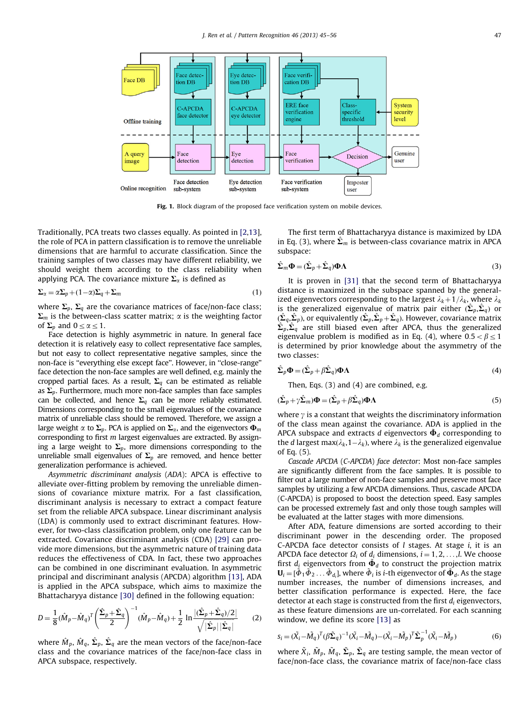<span id="page-2-0"></span>

Fig. 1. Block diagram of the proposed face verification system on mobile devices.

Traditionally, PCA treats two classes equally. As pointed in [\[2](#page-10-0)[,13\]](#page-11-0), the role of PCA in pattern classification is to remove the unreliable dimensions that are harmful to accurate classification. Since the training samples of two classes may have different reliability, we should weight them according to the class reliability when applying PCA. The covariance mixture  $\Sigma_{\alpha}$  is defined as

$$
\Sigma_{\alpha} = \alpha \Sigma_p + (1 - \alpha) \Sigma_q + \Sigma_m \tag{1}
$$

where  $\Sigma_p$ ,  $\Sigma_q$  are the covariance matrices of face/non-face class;  $\Sigma_m$  is the between-class scatter matrix;  $\alpha$  is the weighting factor of  $\Sigma_n$  and  $0 \le \alpha \le 1$ .

Face detection is highly asymmetric in nature. In general face detection it is relatively easy to collect representative face samples, but not easy to collect representative negative samples, since the non-face is ''everything else except face''. However, in ''close-range'' face detection the non-face samples are well defined, e.g. mainly the cropped partial faces. As a result,  $\Sigma_q$  can be estimated as reliable as  $\Sigma_p$ . Furthermore, much more non-face samples than face samples can be collected, and hence  $\Sigma_q$  can be more reliably estimated. Dimensions corresponding to the small eigenvalues of the covariance matrix of unreliable class should be removed. Therefore, we assign a large weight  $\alpha$  to  $\Sigma_p$ . PCA is applied on  $\Sigma_\alpha$ , and the eigenvectors  $\Phi_m$ corresponding to first m largest eigenvalues are extracted. By assigning a large weight to  $\Sigma_p$ , more dimensions corresponding to the unreliable small eigenvalues of  $\Sigma_p$  are removed, and hence better generalization performance is achieved.

Asymmetric discriminant analysis (ADA): APCA is effective to alleviate over-fitting problem by removing the unreliable dimensions of covariance mixture matrix. For a fast classification, discriminant analysis is necessary to extract a compact feature set from the reliable APCA subspace. Linear discriminant analysis (LDA) is commonly used to extract discriminant features. However, for two-class classification problem, only one feature can be extracted. Covariance discriminant analysis (CDA) [\[29\]](#page-11-0) can provide more dimensions, but the asymmetric nature of training data reduces the effectiveness of CDA. In fact, these two approaches can be combined in one discriminant evaluation. In asymmetric principal and discriminant analysis (APCDA) algorithm [\[13\]](#page-11-0), ADA is applied in the APCA subspace, which aims to maximize the Bhattacharyya distance [\[30\]](#page-11-0) defined in the following equation:

$$
D = \frac{1}{8}(\hat{M}_p - \hat{M}_q)^T \left(\frac{\hat{\Sigma}_p + \hat{\Sigma}_q}{2}\right)^{-1} (\hat{M}_p - \hat{M}_q) + \frac{1}{2} \ln \frac{|(\hat{\Sigma}_p + \hat{\Sigma}_q)/2|}{\sqrt{|\hat{\Sigma}_p||\hat{\Sigma}_q|}}
$$
(2)

where  $\hat{M}_p$ ,  $\hat{M}_q$ ,  $\hat{\Sigma}_p$ ,  $\hat{\Sigma}_q$  are the mean vectors of the face/non-face class and the covariance matrices of the face/non-face class in APCA subspace, respectively.

The first term of Bhattacharyya distance is maximized by LDA in Eq. (3), where  $\hat{\Sigma}_m$  is between-class covariance matrix in APCA subspace:

$$
\hat{\Sigma}_m \Phi = (\hat{\Sigma}_p + \hat{\Sigma}_q) \Phi \Lambda \tag{3}
$$

It is proven in [\[31\]](#page-11-0) that the second term of Bhattacharyya distance is maximized in the subspace spanned by the generalized eigenvectors corresponding to the largest  $\lambda_k+1/\lambda_k$ , where  $\lambda_k$ is the generalized eigenvalue of matrix pair either  $(\hat{\Sigma}_p,\hat{\Sigma}_q)$  or  $(\hat{\Sigma}_q,\hat{\Sigma}_p)$ , or equivalently  $(\hat{\Sigma}_p,\hat{\Sigma}_p + \hat{\Sigma}_q)$ . However, covariance matrix  $\hat{\Sigma}_p,\hat{\Sigma}_q$  are still biased even after APCA, thus the generalized eigenvalue problem is modified as in Eq. (4), where  $0.5 < \beta \leq 1$ is determined by prior knowledge about the asymmetry of the two classes:

$$
\hat{\Sigma}_p \mathbf{\Phi} = (\hat{\Sigma}_p + \beta \hat{\Sigma}_q) \mathbf{\Phi} \Lambda \tag{4}
$$

Then, Eqs. (3) and (4) are combined, e.g.

$$
(\hat{\Sigma}_p + \gamma \hat{\Sigma}_m) \Phi = (\hat{\Sigma}_p + \beta \hat{\Sigma}_q) \Phi \Lambda
$$
\n(5)

where  $\gamma$  is a constant that weights the discriminatory information of the class mean against the covariance. ADA is applied in the APCA subspace and extracts d eigenvectors  $\tilde{\Phi}_d$  corresponding to the  $d$  largest max( $\lambda_k$ , 1– $\lambda_k$ ), where  $\lambda_k$  is the generalized eigenvalue of Eq. (5).

Cascade APCDA (C-APCDA) face detector: Most non-face samples are significantly different from the face samples. It is possible to filter out a large number of non-face samples and preserve most face samples by utilizing a few APCDA dimensions. Thus, cascade APCDA (C-APCDA) is proposed to boost the detection speed. Easy samples can be processed extremely fast and only those tough samples will be evaluated at the latter stages with more dimensions.

After ADA, feature dimensions are sorted according to their discriminant power in the descending order. The proposed C-APCDA face detector consists of  $l$  stages. At stage  $i$ , it is an APCDA face detector  $\Omega_i$  of  $d_i$  dimensions,  $i = 1, 2, \ldots, l$ . We choose first  $d_i$  eigenvectors from  $\tilde{\Phi}_d$  to construct the projection matrix  $\mathbf{U}_i=[\tilde{\Phi}_1\tilde{\Phi}_2\ldots\tilde{\Phi}_{d_i}]$ , where  $\tilde{\Phi}_i$  is  $i$ -th eigenvector of  $\tilde{\mathbf{\Phi}}_d$ . As the stage number increases, the number of dimensions increases, and better classification performance is expected. Here, the face detector at each stage is constructed from the first  $d_i$  eigenvectors, as these feature dimensions are un-correlated. For each scanning window, we define its score [\[13\]](#page-11-0) as

$$
s_i = (\tilde{X}_i - \tilde{M}_q)^T (\beta \tilde{\Sigma}_q)^{-1} (\tilde{X}_i - \tilde{M}_q) - (\tilde{X}_i - \tilde{M}_p)^T \tilde{\Sigma}_p^{-1} (\tilde{X}_i - \tilde{M}_p)
$$
(6)

where  $\tilde{X}_i$ ,  $\tilde{M}_p$ ,  $\tilde{M}_q$ ,  $\tilde{\Sigma}_p$ ,  $\tilde{\Sigma}_q$  are testing sample, the mean vector of face/non-face class, the covariance matrix of face/non-face class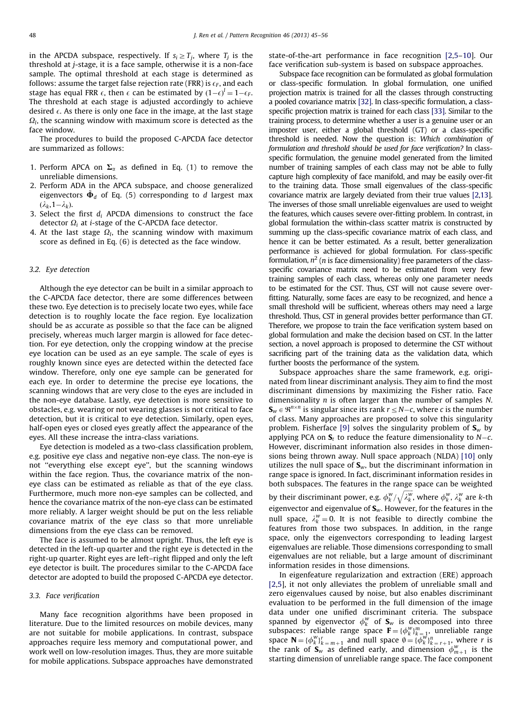in the APCDA subspace, respectively. If  $s_i \geq T_j$ , where  $T_j$  is the threshold at j-stage, it is a face sample, otherwise it is a non-face sample. The optimal threshold at each stage is determined as follows: assume the target false rejection rate (FRR) is  $\epsilon_F$ , and each stage has equal FRR  $\epsilon$ , then  $\epsilon$  can be estimated by  $\left(1{-}\epsilon\right)^{l}=1{-}\epsilon_{\text{F}}.$ The threshold at each stage is adjusted accordingly to achieve desired  $\epsilon$ . As there is only one face in the image, at the last stage  $\Omega_l$ , the scanning window with maximum score is detected as the face window.

The procedures to build the proposed C-APCDA face detector are summarized as follows:

- 1. Perform APCA on  $\Sigma_{\alpha}$  as defined in Eq. (1) to remove the unreliable dimensions.
- 2. Perform ADA in the APCA subspace, and choose generalized eigenvectors  $\tilde{\Phi}_d$  of Eq. (5) corresponding to d largest max  $(\lambda_k, 1-\lambda_k)$ .
- 3. Select the first  $d_i$  APCDA dimensions to construct the face detector  $\Omega_i$  at *i*-stage of the C-APCDA face detector.
- 4. At the last stage  $\Omega_l$ , the scanning window with maximum score as defined in Eq. (6) is detected as the face window.

#### 3.2. Eye detection

Although the eye detector can be built in a similar approach to the C-APCDA face detector, there are some differences between these two. Eye detection is to precisely locate two eyes, while face detection is to roughly locate the face region. Eye localization should be as accurate as possible so that the face can be aligned precisely, whereas much larger margin is allowed for face detection. For eye detection, only the cropping window at the precise eye location can be used as an eye sample. The scale of eyes is roughly known since eyes are detected within the detected face window. Therefore, only one eye sample can be generated for each eye. In order to determine the precise eye locations, the scanning windows that are very close to the eyes are included in the non-eye database. Lastly, eye detection is more sensitive to obstacles, e.g. wearing or not wearing glasses is not critical to face detection, but it is critical to eye detection. Similarly, open eyes, half-open eyes or closed eyes greatly affect the appearance of the eyes. All these increase the intra-class variations.

Eye detection is modeled as a two-class classification problem, e.g. positive eye class and negative non-eye class. The non-eye is not ''everything else except eye'', but the scanning windows within the face region. Thus, the covariance matrix of the noneye class can be estimated as reliable as that of the eye class. Furthermore, much more non-eye samples can be collected, and hence the covariance matrix of the non-eye class can be estimated more reliably. A larger weight should be put on the less reliable covariance matrix of the eye class so that more unreliable dimensions from the eye class can be removed.

The face is assumed to be almost upright. Thus, the left eye is detected in the left-up quarter and the right eye is detected in the right-up quarter. Right eyes are left–right flipped and only the left eye detector is built. The procedures similar to the C-APCDA face detector are adopted to build the proposed C-APCDA eye detector.

#### 3.3. Face verification

Many face recognition algorithms have been proposed in literature. Due to the limited resources on mobile devices, many are not suitable for mobile applications. In contrast, subspace approaches require less memory and computational power, and work well on low-resolution images. Thus, they are more suitable for mobile applications. Subspace approaches have demonstrated

state-of-the-art performance in face recognition [\[2,5](#page-10-0)[–10\]](#page-11-0). Our face verification sub-system is based on subspace approaches.

Subspace face recognition can be formulated as global formulation or class-specific formulation. In global formulation, one unified projection matrix is trained for all the classes through constructing a pooled covariance matrix [\[32\].](#page-11-0) In class-specific formulation, a classspecific projection matrix is trained for each class [\[33\].](#page-11-0) Similar to the training process, to determine whether a user is a genuine user or an imposter user, either a global threshold (GT) or a class-specific threshold is needed. Now the question is: Which combination of formulation and threshold should be used for face verification? In classspecific formulation, the genuine model generated from the limited number of training samples of each class may not be able to fully capture high complexity of face manifold, and may be easily over-fit to the training data. Those small eigenvalues of the class-specific covariance matrix are largely deviated from their true values [\[2](#page-10-0)[,13\]](#page-11-0). The inverses of those small unreliable eigenvalues are used to weight the features, which causes severe over-fitting problem. In contrast, in global formulation the within-class scatter matrix is constructed by summing up the class-specific covariance matrix of each class, and hence it can be better estimated. As a result, better generalization performance is achieved for global formulation. For class-specific formulation,  $n^2$  (*n* is face dimensionality) free parameters of the classspecific covariance matrix need to be estimated from very few training samples of each class, whereas only one parameter needs to be estimated for the CST. Thus, CST will not cause severe overfitting. Naturally, some faces are easy to be recognized, and hence a small threshold will be sufficient, whereas others may need a large threshold. Thus, CST in general provides better performance than GT. Therefore, we propose to train the face verification system based on global formulation and make the decision based on CST. In the latter section, a novel approach is proposed to determine the CST without sacrificing part of the training data as the validation data, which further boosts the performance of the system.

Subspace approaches share the same framework, e.g. originated from linear discriminant analysis. They aim to find the most discriminant dimensions by maximizing the Fisher ratio. Face dimensionality  $n$  is often larger than the number of samples  $N$ .  $S_w \in \mathbb{R}^{n \times n}$  is singular since its rank  $r \leq N-c$ , where c is the number of class. Many approaches are proposed to solve this singularity problem. Fisherface [\[9\]](#page-11-0) solves the singularity problem of  $S_w$  by applying PCA on  $S_t$  to reduce the feature dimensionality to  $N-c$ . However, discriminant information also resides in those dimensions being thrown away. Null space approach (NLDA) [\[10\]](#page-11-0) only utilizes the null space of  $S_w$ , but the discriminant information in range space is ignored. In fact, discriminant information resides in both subspaces. The features in the range space can be weighted by their discriminant power, e.g.  $\phi_k^w / \sqrt{\lambda_k^w}$  $\sqrt{\lambda_k^w}$ , where  $\phi_k^w$ ,  $\lambda_k^w$  are k-th eigenvector and eigenvalue of  $S_w$ . However, for the features in the null space,  $\lambda_k^w = 0$ . It is not feasible to directly combine the features from those two subspaces. In addition, in the range space, only the eigenvectors corresponding to leading largest eigenvalues are reliable. Those dimensions corresponding to small eigenvalues are not reliable, but a large amount of discriminant information resides in those dimensions.

In eigenfeature regularization and extraction (ERE) approach [\[2,5](#page-10-0)], it not only alleviates the problem of unreliable small and zero eigenvalues caused by noise, but also enables discriminant evaluation to be performed in the full dimension of the image data under one unified discriminant criteria. The subspace spanned by eigenvector  $\phi_k^w$  of  $S_w$  is decomposed into three subspaces: reliable range space  $\mathbf{F} = {\phi_k^w}_{k=1}^m$ , unreliable range space  $\mathbf{N} = {\phi_k^w}_{k=1}^r$  and null space  $\phi = {\phi_k^w}_{k=1}^r$ , where r is the rank of  $\mathbf{S}_w$  as defined early, and dimension  $\phi_{m+1}^w$  is the starting dimension of unreliable range space. The face component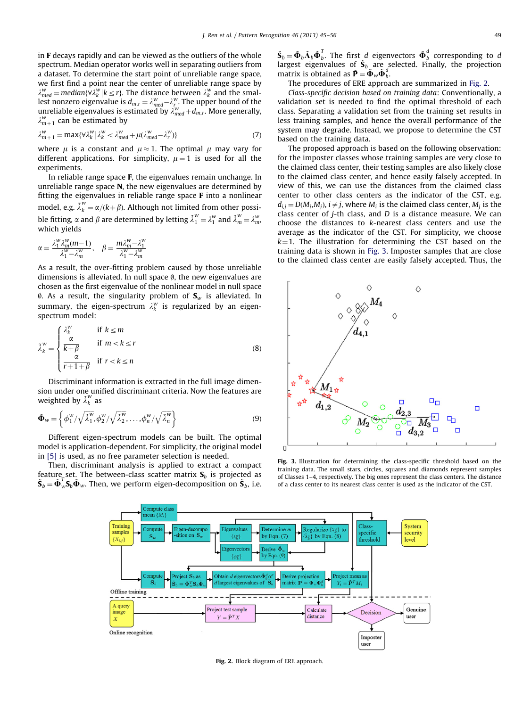<span id="page-4-0"></span>in F decays rapidly and can be viewed as the outliers of the whole spectrum. Median operator works well in separating outliers from a dataset. To determine the start point of unreliable range space, we first find a point near the center of unreliable range space by  $\lambda_{med}^W = \text{median}(\forall \lambda_k^W | k \leq r)$ . The distance between  $\lambda_k^W$  and the smaller hound of the line through the line through the line through the line through the line through the line through of the line through the line throu lest nonzero eigenvalue is  $d_{m,r} = \lambda_{med}^w - \lambda_r^w$ . The upper bound of the unreliable eigenvalues is estimated by  $\lambda_{med}^{\mathsf{w}}\hspace{-0.5mm}+\hspace{-0.5mm}d_{m,r}.$  More generally,  $\lambda_{m+1}^{\mathsf{w}}$  can be estimated by

$$
\lambda_{m+1}^{w} = \max \{ \forall \lambda_{k}^{w} | \lambda_{k}^{w} < \lambda_{med}^{w} + \mu(\lambda_{med}^{w} - \lambda_{r}^{w}) \} \tag{7}
$$

where  $\mu$  is a constant and  $\mu \approx 1$ . The optimal  $\mu$  may vary for different applications. For simplicity,  $\mu = 1$  is used for all the experiments.

In reliable range space F, the eigenvalues remain unchange. In unreliable range space  $N$ , the new eigenvalues are determined by fitting the eigenvalues in reliable range space F into a nonlinear model, e.g.  $\tilde{\lambda}_k^W = \alpha/(k+\beta)$ . Although not limited from other possible fitting,  $\alpha$  and  $\beta$  are determined by letting  $\tilde{\lambda}_1^{\rm w}=\lambda_1^{\rm w}$  and  $\tilde{\lambda}_m^{\rm w}=\lambda_m^{\rm w}$ , which yields

$$
\alpha = \frac{\lambda_1^w \lambda_m^w (m-1)}{\lambda_1^w - \lambda_m^w}, \quad \beta = \frac{m \lambda_m^w - \lambda_1^w}{\lambda_1^w - \lambda_m^w}
$$

As a result, the over-fitting problem caused by those unreliable dimensions is alleviated. In null space  $\emptyset$ , the new eigenvalues are chosen as the first eigenvalue of the nonlinear model in null space  $\emptyset$ . As a result, the singularity problem of  $S_w$  is alleviated. In summary, the eigen-spectrum  $\lambda_k^w$  is regularized by an eigenspectrum model:

$$
\tilde{\lambda}_k^w = \begin{cases}\n\frac{\lambda_k^w}{\alpha} & \text{if } k \le m \\
\frac{\alpha}{k + \beta} & \text{if } m < k \le r \\
\frac{\alpha}{r + 1 + \beta} & \text{if } r < k \le n\n\end{cases}
$$
\n(8)

Discriminant information is extracted in the full image dimension under one unified discriminant criteria. Now the features are weighted by  $\tilde{\lambda}_k^w$  as

$$
\tilde{\Phi}_w = \left\{ \phi_1^w / \sqrt{\tilde{\lambda}_1^w}, \phi_2^w / \sqrt{\tilde{\lambda}_2^w}, \dots, \phi_n^w / \sqrt{\tilde{\lambda}_n^w} \right\}
$$
(9)

Different eigen-spectrum models can be built. The optimal model is application-dependent. For simplicity, the original model in [\[5\]](#page-10-0) is used, as no free parameter selection is needed.

Then, discriminant analysis is applied to extract a compact feature set. The between-class scatter matrix  $S_b$  is projected as  $\tilde{\textbf{S}}_b\!=\!\tilde{\boldsymbol{\Phi}}_w^T\textbf{S}_b\tilde{\boldsymbol{\Phi}}_w$ . Then, we perform eigen-decomposition on  $\tilde{\textbf{S}}_b$ , i.e.

 $\tilde{\textbf{S}}_b \!=\! \tilde{\boldsymbol{\Phi}}_b \tilde{\boldsymbol{\Lambda}}_b \tilde{\boldsymbol{\Phi}}_b^T$ . The first  $d$  eigenvectors  $\tilde{\boldsymbol{\Phi}}_b^d$  corresponding to  $d$ largest eigenvalues of  $\tilde{\mathbf{S}}_b$  are selected. Finally, the projection matrix is obtained as  $\tilde{\mathbf{P}} = \tilde{\boldsymbol{\Phi}}_w \tilde{\boldsymbol{\Phi}}_b^d$ .

The procedures of ERE approach are summarized in Fig. 2.

Class-specific decision based on training data: Conventionally, a validation set is needed to find the optimal threshold of each class. Separating a validation set from the training set results in less training samples, and hence the overall performance of the system may degrade. Instead, we propose to determine the CST based on the training data.

The proposed approach is based on the following observation: for the imposter classes whose training samples are very close to the claimed class center, their testing samples are also likely close to the claimed class center, and hence easily falsely accepted. In view of this, we can use the distances from the claimed class center to other class centers as the indicator of the CST, e.g.  $d_{i,j} = D(M_i, M_j), i \neq j$ , where  $M_i$  is the claimed class center,  $M_i$  is the class center of  $j$ -th class, and  $D$  is a distance measure. We can choose the distances to k-nearest class centers and use the average as the indicator of the CST. For simplicity, we choose  $k=1$ . The illustration for determining the CST based on the training data is shown in Fig. 3. Imposter samples that are close to the claimed class center are easily falsely accepted. Thus, the



Fig. 3. Illustration for determining the class-specific threshold based on the training data. The small stars, circles, squares and diamonds represent samples of Classes 1–4, respectively. The big ones represent the class centers. The distance of a class center to its nearest class center is used as the indicator of the CST.



Fig. 2. Block diagram of ERE approach.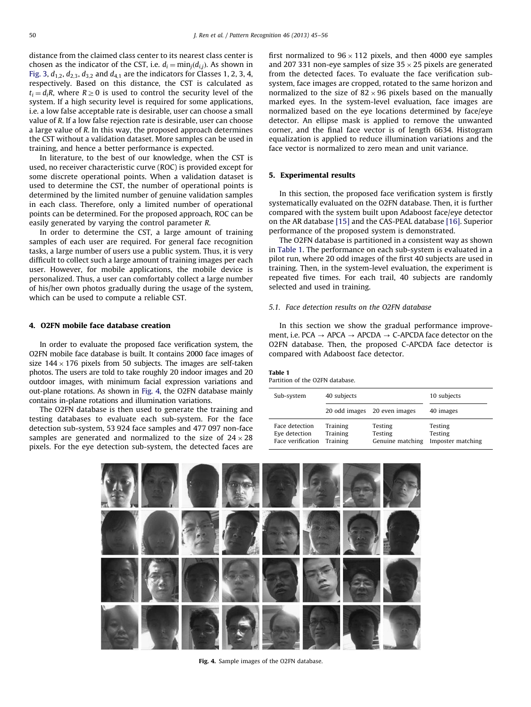<span id="page-5-0"></span>distance from the claimed class center to its nearest class center is chosen as the indicator of the CST, i.e.  $d_i = min_i(d_{i,i})$ . As shown in [Fig. 3,](#page-4-0)  $d_{1,2}$ ,  $d_{2,3}$ ,  $d_{3,2}$  and  $d_{4,1}$  are the indicators for Classes 1, 2, 3, 4, respectively. Based on this distance, the CST is calculated as  $t_i = d_iR$ , where  $R \ge 0$  is used to control the security level of the system. If a high security level is required for some applications, i.e. a low false acceptable rate is desirable, user can choose a small value of R. If a low false rejection rate is desirable, user can choose a large value of R. In this way, the proposed approach determines the CST without a validation dataset. More samples can be used in training, and hence a better performance is expected.

In literature, to the best of our knowledge, when the CST is used, no receiver characteristic curve (ROC) is provided except for some discrete operational points. When a validation dataset is used to determine the CST, the number of operational points is determined by the limited number of genuine validation samples in each class. Therefore, only a limited number of operational points can be determined. For the proposed approach, ROC can be easily generated by varying the control parameter R.

In order to determine the CST, a large amount of training samples of each user are required. For general face recognition tasks, a large number of users use a public system. Thus, it is very difficult to collect such a large amount of training images per each user. However, for mobile applications, the mobile device is personalized. Thus, a user can comfortably collect a large number of his/her own photos gradually during the usage of the system, which can be used to compute a reliable CST.

# 4. O2FN mobile face database creation

In order to evaluate the proposed face verification system, the O2FN mobile face database is built. It contains 2000 face images of size  $144 \times 176$  pixels from 50 subjects. The images are self-taken photos. The users are told to take roughly 20 indoor images and 20 outdoor images, with minimum facial expression variations and out-plane rotations. As shown in Fig. 4, the O2FN database mainly contains in-plane rotations and illumination variations.

The O2FN database is then used to generate the training and testing databases to evaluate each sub-system. For the face detection sub-system, 53 924 face samples and 477 097 non-face samples are generated and normalized to the size of  $24 \times 28$ pixels. For the eye detection sub-system, the detected faces are

first normalized to  $96 \times 112$  pixels, and then 4000 eye samples and 207 331 non-eye samples of size  $35 \times 25$  pixels are generated from the detected faces. To evaluate the face verification subsystem, face images are cropped, rotated to the same horizon and normalized to the size of  $82 \times 96$  pixels based on the manually marked eyes. In the system-level evaluation, face images are normalized based on the eye locations determined by face/eye detector. An ellipse mask is applied to remove the unwanted corner, and the final face vector is of length 6634. Histogram equalization is applied to reduce illumination variations and the face vector is normalized to zero mean and unit variance.

# 5. Experimental results

In this section, the proposed face verification system is firstly systematically evaluated on the O2FN database. Then, it is further compared with the system built upon Adaboost face/eye detector on the AR database [\[15\]](#page-11-0) and the CAS-PEAL database [\[16\]](#page-11-0). Superior performance of the proposed system is demonstrated.

The O2FN database is partitioned in a consistent way as shown in Table 1. The performance on each sub-system is evaluated in a pilot run, where 20 odd images of the first 40 subjects are used in training. Then, in the system-level evaluation, the experiment is repeated five times. For each trail, 40 subjects are randomly selected and used in training.

# 5.1. Face detection results on the O2FN database

In this section we show the gradual performance improvement, i.e. PCA  $\rightarrow$  APCA  $\rightarrow$  APCDA  $\rightarrow$  C-APCDA face detector on the O2FN database. Then, the proposed C-APCDA face detector is compared with Adaboost face detector.

#### Table 1

Partition of the O2FN database.

| Sub-system                                           | 40 subjects                      | 10 subjects                            |                                         |
|------------------------------------------------------|----------------------------------|----------------------------------------|-----------------------------------------|
|                                                      | 20 odd images                    | 20 even images                         | 40 images                               |
| Face detection<br>Eye detection<br>Face verification | Training<br>Training<br>Training | Testing<br>Testing<br>Genuine matching | Testing<br>Testing<br>Imposter matching |



Fig. 4. Sample images of the O2FN database.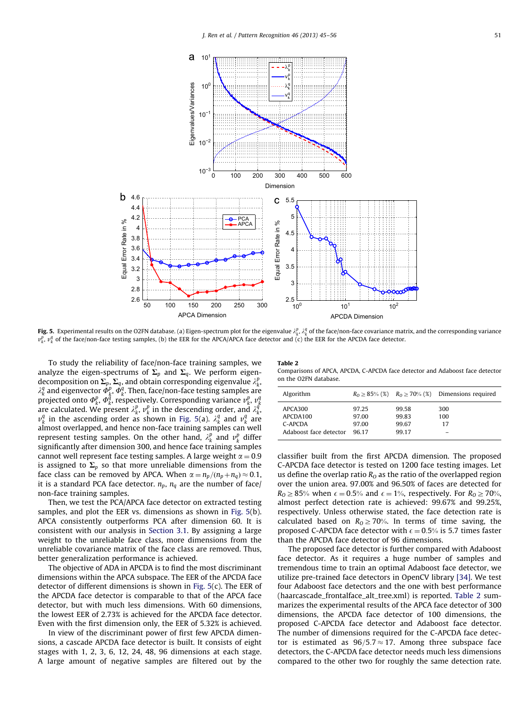

**Fig. 5.** Experimental results on the O2FN database. (a) Eigen-spectrum plot for the eigenvalue  $\lambda^p_k$ ,  $\lambda^q_k$  of the face/non-face covariance matrix, and the corresponding variance  $v_k^p$ ,  $v_k^q$  of the face/non-face testing samples, (b) the EER for the APCA/APCA face detector and (c) the EER for the APCDA face detector.

To study the reliability of face/non-face training samples, we analyze the eigen-spectrums of  $\Sigma_p$  and  $\Sigma_q$ . We perform eigendecomposition on  $\Sigma_p$ ,  $\Sigma_q$ , and obtain corresponding eigenvalue  $\lambda_k^p$ ,  $\lambda_k^q$  and eigenvector  $\varPhi_k^p$ ,  $\varPhi_k^q$ . Then, face/non-face testing samples are projected onto  $\Phi_k^p$ ,  $\Phi_k^{\hat{q}}$ , respectively. Corresponding variance  $v_k^p$ ,  $v_k^q$   $\phi_k^q$  are calculated. We present  $\lambda_k^p$ ,  $v_k^p$  in the descending order, and  $\lambda_k^q$ ,  $v_k^q$  in the ascending order as shown in Fig. 5(a).  $\lambda_k^q$  and  $v_k^q$  are almost overlapped, and hence non-face training samples can well represent testing samples. On the other hand,  $\lambda_k^p$  and  $v_k^p$  differ significantly after dimension 300, and hence face training samples cannot well represent face testing samples. A large weight  $\alpha = 0.9$ is assigned to  $\Sigma_p$  so that more unreliable dimensions from the face class can be removed by APCA. When  $\alpha = n_p/(n_p+n_q) \approx 0.1$ , it is a standard PCA face detector.  $n_p$ ,  $n_q$  are the number of face/ non-face training samples.

Then, we test the PCA/APCA face detector on extracted testing samples, and plot the EER vs. dimensions as shown in Fig. 5(b). APCA consistently outperforms PCA after dimension 60. It is consistent with our analysis in [Section 3.1.](#page-1-0) By assigning a large weight to the unreliable face class, more dimensions from the unreliable covariance matrix of the face class are removed. Thus, better generalization performance is achieved.

The objective of ADA in APCDA is to find the most discriminant dimensions within the APCA subspace. The EER of the APCDA face detector of different dimensions is shown in Fig. 5(c). The EER of the APCDA face detector is comparable to that of the APCA face detector, but with much less dimensions. With 60 dimensions, the lowest EER of 2.73% is achieved for the APCDA face detector. Even with the first dimension only, the EER of 5.32% is achieved.

In view of the discriminant power of first few APCDA dimensions, a cascade APCDA face detector is built. It consists of eight stages with 1, 2, 3, 6, 12, 24, 48, 96 dimensions at each stage. A large amount of negative samples are filtered out by the Table 2 Comparisons of APCA, APCDA, C-APCDA face detector and Adaboost face detector on the O2FN database.

| Algorithm                                                |                                  |                                  | $R_0 \geq 85\%$ (%) $R_0 \geq 70\%$ (%) Dimensions required |
|----------------------------------------------------------|----------------------------------|----------------------------------|-------------------------------------------------------------|
| APCA300<br>APCDA100<br>C-APCDA<br>Adaboost face detector | 97.25<br>97.00<br>97.00<br>96 17 | 99.58<br>99.83<br>99.67<br>99.17 | 300<br>100<br>17                                            |

classifier built from the first APCDA dimension. The proposed C-APCDA face detector is tested on 1200 face testing images. Let us define the overlap ratio  $R_0$  as the ratio of the overlapped region over the union area. 97.00% and 96.50% of faces are detected for  $R_0 \geq 85\%$  when  $\epsilon = 0.5\%$  and  $\epsilon = 1\%$ , respectively. For  $R_0 \geq 70\%$ , almost perfect detection rate is achieved: 99.67% and 99.25%, respectively. Unless otherwise stated, the face detection rate is calculated based on  $R_0 \ge 70\%$ . In terms of time saving, the proposed C-APCDA face detector with  $\epsilon = 0.5$ % is 5.7 times faster than the APCDA face detector of 96 dimensions.

The proposed face detector is further compared with Adaboost face detector. As it requires a huge number of samples and tremendous time to train an optimal Adaboost face detector, we utilize pre-trained face detectors in OpenCV library [\[34\]](#page-11-0). We test four Adaboost face detectors and the one with best performance (haarcascade\_frontalface\_alt\_tree.xml) is reported. Table 2 summarizes the experimental results of the APCA face detector of 300 dimensions, the APCDA face detector of 100 dimensions, the proposed C-APCDA face detector and Adaboost face detector. The number of dimensions required for the C-APCDA face detector is estimated as  $96/5.7 \approx 17$ . Among three subspace face detectors, the C-APCDA face detector needs much less dimensions compared to the other two for roughly the same detection rate.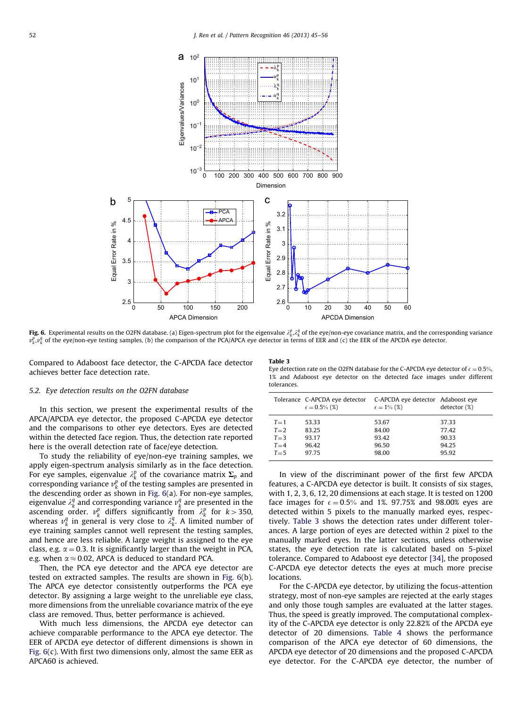

**Fig. 6.** Experimental results on the O2FN database. (a) Eigen-spectrum plot for the eigenvalue  $\lambda_k^p, \lambda_k^q$  of the eye/non-eye covariance matrix, and the corresponding variance  $v_k^p v_k^q$  of the eye/non-eye testing samples, (b) the comparison of the PCA/APCA eye detector in terms of EER and (c) the EER of the APCDA eye detector.

Compared to Adaboost face detector, the C-APCDA face detector achieves better face detection rate.

#### 5.2. Eye detection results on the O2FN database

In this section, we present the experimental results of the APCA/APCDA eye detector, the proposed C-APCDA eye detector and the comparisons to other eye detectors. Eyes are detected within the detected face region. Thus, the detection rate reported here is the overall detection rate of face/eye detection.

To study the reliability of eye/non-eye training samples, we apply eigen-spectrum analysis similarly as in the face detection. For eye samples, eigenvalue  $\lambda_k^p$  of the covariance matrix  $\mathbf{\Sigma}_p$  and corresponding variance  $v_k^p$  of the testing samples are presented in the descending order as shown in Fig. 6(a). For non-eye samples, eigenvalue  $\lambda_k^q$  and corresponding variance  $v_k^q$  are presented in the ascending order.  $v_k^p$  differs significantly from  $\lambda_k^p$  for  $k > 350$ , whereas  $v_k^q$  in general is very close to  $\lambda_k^q$ . A limited number of eye training samples cannot well represent the testing samples, and hence are less reliable. A large weight is assigned to the eye class, e.g.  $\alpha = 0.3$ . It is significantly larger than the weight in PCA, e.g. when  $\alpha \approx 0.02$ , APCA is deduced to standard PCA.

Then, the PCA eye detector and the APCA eye detector are tested on extracted samples. The results are shown in Fig. 6(b). The APCA eye detector consistently outperforms the PCA eye detector. By assigning a large weight to the unreliable eye class, more dimensions from the unreliable covariance matrix of the eye class are removed. Thus, better performance is achieved.

With much less dimensions, the APCDA eye detector can achieve comparable performance to the APCA eye detector. The EER of APCDA eye detector of different dimensions is shown in Fig. 6(c). With first two dimensions only, almost the same EER as APCA60 is achieved.

Table 3 Eye detection rate on the O2FN database for the C-APCDA eye detector of  $\epsilon = 0.5\%$ . 1% and Adaboost eye detector on the detected face images under different tolerances.

|                                        | Tolerance C-APCDA eye detector C-APCDA eye detector Adaboost eye<br>$\epsilon = 0.5\%$ (%) | $\epsilon = 1\%$ (%)             | detector (%)                     |
|----------------------------------------|--------------------------------------------------------------------------------------------|----------------------------------|----------------------------------|
| $T = 1$<br>$T=2$<br>$T = 3$<br>$T = 4$ | 53.33<br>83.25<br>93.17<br>96.42                                                           | 53.67<br>84.00<br>93.42<br>96.50 | 37.33<br>77.42<br>90.33<br>94.25 |
| $T = 5$                                | 97.75                                                                                      | 98.00                            | 95.92                            |

In view of the discriminant power of the first few APCDA features, a C-APCDA eye detector is built. It consists of six stages, with 1, 2, 3, 6, 12, 20 dimensions at each stage. It is tested on 1200 face images for  $\epsilon = 0.5\%$  and 1%. 97.75% and 98.00% eyes are detected within 5 pixels to the manually marked eyes, respectively. Table 3 shows the detection rates under different tolerances. A large portion of eyes are detected within 2 pixel to the manually marked eyes. In the latter sections, unless otherwise states, the eye detection rate is calculated based on 5-pixel tolerance. Compared to Adaboost eye detector [\[34\],](#page-11-0) the proposed C-APCDA eye detector detects the eyes at much more precise locations.

For the C-APCDA eye detector, by utilizing the focus-attention strategy, most of non-eye samples are rejected at the early stages and only those tough samples are evaluated at the latter stages. Thus, the speed is greatly improved. The computational complexity of the C-APCDA eye detector is only 22.82% of the APCDA eye detector of 20 dimensions. [Table 4](#page-8-0) shows the performance comparison of the APCA eye detector of 60 dimensions, the APCDA eye detector of 20 dimensions and the proposed C-APCDA eye detector. For the C-APCDA eye detector, the number of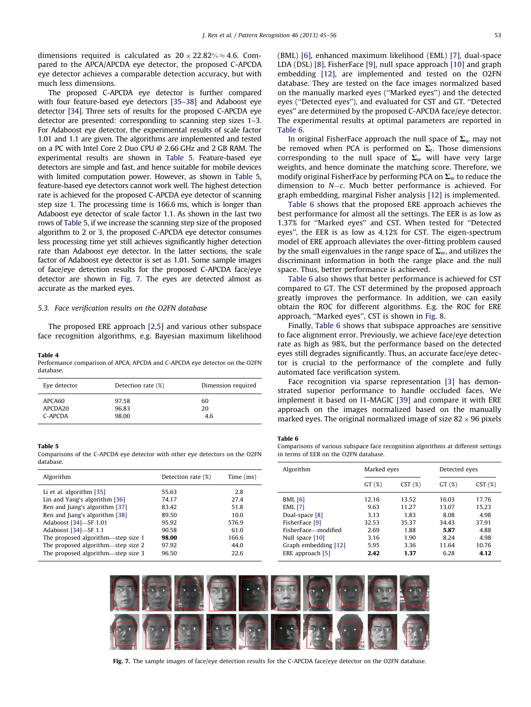<span id="page-8-0"></span>dimensions required is calculated as  $20 \times 22.82\% \approx 4.6$ . Compared to the APCA/APCDA eye detector, the proposed C-APCDA eye detector achieves a comparable detection accuracy, but with much less dimensions.

The proposed C-APCDA eye detector is further compared with four feature-based eye detectors [\[35–38\]](#page-11-0) and Adaboost eye detector [\[34\]](#page-11-0). Three sets of results for the proposed C-APCDA eye detector are presented: corresponding to scanning step sizes 1–3. For Adaboost eye detector, the experimental results of scale factor 1.01 and 1.1 are given. The algorithms are implemented and tested on a PC with Intel Core 2 Duo CPU @ 2.66 GHz and 2 GB RAM. The experimental results are shown in Table 5. Feature-based eye detectors are simple and fast, and hence suitable for mobile devices with limited computation power. However, as shown in Table 5, feature-based eye detectors cannot work well. The highest detection rate is achieved for the proposed C-APCDA eye detector of scanning step size 1. The processing time is 166.6 ms, which is longer than Adaboost eye detector of scale factor 1.1. As shown in the last two rows of Table 5, if we increase the scanning step size of the proposed algorithm to 2 or 3, the proposed C-APCDA eye detector consumes less processing time yet still achieves significantly higher detection rate than Adaboost eye detector. In the latter sections, the scale factor of Adaboost eye detector is set as 1.01. Some sample images of face/eye detection results for the proposed C-APCDA face/eye detector are shown in Fig. 7. The eyes are detected almost as accurate as the marked eyes.

## 5.3. Face verification results on the O2FN database

The proposed ERE approach [\[2,5\]](#page-10-0) and various other subspace face recognition algorithms, e.g. Bayesian maximum likelihood

#### Table 4

Performance comparison of APCA, APCDA and C-APCDA eye detector on the O2FN database.

| Eye detector      | Detection rate (%) | Dimension required |
|-------------------|--------------------|--------------------|
| APCA60<br>APCDA20 | 97.58<br>96.83     | 60<br>20           |
| C-APCDA           | 98.00              | 4.6                |

#### Table 5

Comparisons of the C-APCDA eye detector with other eye detectors on the O2FN database.

| Algorithm                          | Detection rate (%) | Time (ms) |
|------------------------------------|--------------------|-----------|
| Li et al. algorithm [35]           | 55.63              | 2.8       |
| Lin and Yang's algorithm [36]      | 74.17              | 27.4      |
| Ren and Jiang's algorithm [37]     | 83.42              | 51.8      |
| Ren and Jiang's algorithm [38]     | 89.50              | 10.0      |
| Adaboost [34]-SF 1.01              | 95.92              | 576.9     |
| Adaboost [34]-SF 1.1               | 90.58              | 61.0      |
| The proposed algorithm—step size 1 | 98.00              | 166.6     |
| The proposed algorithm—step size 2 | 97.92              | 44.0      |
| The proposed algorithm—step size 3 | 96.50              | 22.6      |

(BML) [\[6\],](#page-10-0) enhanced maximum likelihood (EML) [\[7\],](#page-10-0) dual-space LDA (DSL) [\[8\],](#page-10-0) FisherFace [\[9\],](#page-11-0) null space approach [\[10\]](#page-11-0) and graph embedding [\[12\],](#page-11-0) are implemented and tested on the O2FN database. They are tested on the face images normalized based on the manually marked eyes (''Marked eyes'') and the detected eyes (''Detected eyes''), and evaluated for CST and GT. ''Detected eyes'' are determined by the proposed C-APCDA face/eye detector. The experimental results at optimal parameters are reported in Table 6.

In original FisherFace approach the null space of  $\Sigma_{w}$  may not be removed when PCA is performed on  $\Sigma_t$ . Those dimensions corresponding to the null space of  $\Sigma_w$  will have very large weights, and hence dominate the matching score. Therefore, we modify original FisherFace by performing PCA on  $\Sigma_w$  to reduce the dimension to N-c. Much better performance is achieved. For graph embedding, marginal Fisher analysis [\[12\]](#page-11-0) is implemented.

Table 6 shows that the proposed ERE approach achieves the best performance for almost all the settings. The EER is as low as 1.37% for ''Marked eyes'' and CST. When tested for ''Detected eyes'', the EER is as low as 4.12% for CST. The eigen-spectrum model of ERE approach alleviates the over-fitting problem caused by the small eigenvalues in the range space of  $\Sigma_{w}$ , and utilizes the discriminant information in both the range place and the null space. Thus, better performance is achieved.

Table 6 also shows that better performance is achieved for CST compared to GT. The CST determined by the proposed approach greatly improves the performance. In addition, we can easily obtain the ROC for different algorithms. E.g. the ROC for ERE approach, ''Marked eyes'', CST is shown in [Fig. 8](#page-9-0).

Finally, Table 6 shows that subspace approaches are sensitive to face alignment error. Previously, we achieve face/eye detection rate as high as 98%, but the performance based on the detected eyes still degrades significantly. Thus, an accurate face/eye detector is crucial to the performance of the complete and fully automated face verification system.

Face recognition via sparse representation [\[3\]](#page-10-0) has demonstrated superior performance to handle occluded faces. We implement it based on l1-MAGIC [\[39\]](#page-11-0) and compare it with ERE approach on the images normalized based on the manually marked eyes. The original normalized image of size  $82 \times 96$  pixels

#### Table 6

Comparisons of various subspace face recognition algorithms at different settings in terms of EER on the O2FN database.

| Algorithm            | Marked eyes<br>GT(%)<br>CST(%) |       | Detected eyes |        |  |
|----------------------|--------------------------------|-------|---------------|--------|--|
|                      |                                |       | GT(%)         | CST(%) |  |
| <b>BML</b> [6]       | 12.16                          | 13.52 | 16.03         | 17.76  |  |
| <b>EML [7]</b>       | 9.63                           | 11.27 | 13.07         | 15.23  |  |
| Dual-space [8]       | 3.13                           | 1.83  | 8.08          | 4.98   |  |
| FisherFace [9]       | 32.53                          | 35.37 | 34.43         | 37.91  |  |
| FisherFace-modified  | 2.69                           | 1.88  | 5.87          | 4.88   |  |
| Null space [10]      | 3.16                           | 1.90  | 8.24          | 4.98   |  |
| Graph embedding [12] | 5.95                           | 3.36  | 11.64         | 10.76  |  |
| ERE approach [5]     | 2.42                           | 1.37  | 6.28          | 4.12   |  |



Fig. 7. The sample images of face/eye detection results for the C-APCDA face/eye detector on the O2FN database.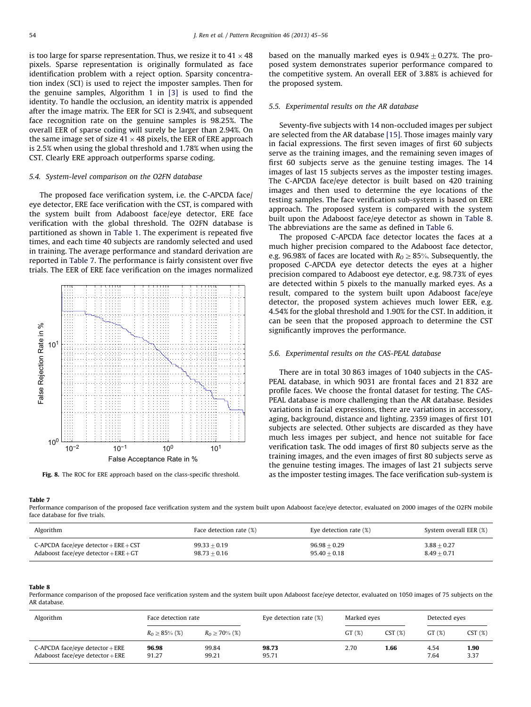<span id="page-9-0"></span>is too large for sparse representation. Thus, we resize it to  $41 \times 48$ pixels. Sparse representation is originally formulated as face identification problem with a reject option. Sparsity concentration index (SCI) is used to reject the imposter samples. Then for the genuine samples, Algorithm 1 in [\[3\]](#page-10-0) is used to find the identity. To handle the occlusion, an identity matrix is appended after the image matrix. The EER for SCI is 2.94%, and subsequent face recognition rate on the genuine samples is 98.25%. The overall EER of sparse coding will surely be larger than 2.94%. On the same image set of size  $41 \times 48$  pixels, the EER of ERE approach is 2.5% when using the global threshold and 1.78% when using the CST. Clearly ERE approach outperforms sparse coding.

## 5.4. System-level comparison on the O2FN database

The proposed face verification system, i.e. the C-APCDA face/ eye detector, ERE face verification with the CST, is compared with the system built from Adaboost face/eye detector, ERE face verification with the global threshold. The O2FN database is partitioned as shown in [Table 1.](#page-5-0) The experiment is repeated five times, and each time 40 subjects are randomly selected and used in training. The average performance and standard derivation are reported in Table 7. The performance is fairly consistent over five trials. The EER of ERE face verification on the images normalized



Fig. 8. The ROC for ERE approach based on the class-specific threshold.

based on the manually marked eyes is  $0.94\% \pm 0.27\%$ . The proposed system demonstrates superior performance compared to the competitive system. An overall EER of 3.88% is achieved for the proposed system.

#### 5.5. Experimental results on the AR database

Seventy-five subjects with 14 non-occluded images per subject are selected from the AR database [\[15\]](#page-11-0). Those images mainly vary in facial expressions. The first seven images of first 60 subjects serve as the training images, and the remaining seven images of first 60 subjects serve as the genuine testing images. The 14 images of last 15 subjects serves as the imposter testing images. The C-APCDA face/eye detector is built based on 420 training images and then used to determine the eye locations of the testing samples. The face verification sub-system is based on ERE approach. The proposed system is compared with the system built upon the Adaboost face/eye detector as shown in Table 8. The abbreviations are the same as defined in [Table 6.](#page-8-0)

The proposed C-APCDA face detector locates the faces at a much higher precision compared to the Adaboost face detector, e.g. 96.98% of faces are located with  $R_0 \ge 85$ %. Subsequently, the proposed C-APCDA eye detector detects the eyes at a higher precision compared to Adaboost eye detector, e.g. 98.73% of eyes are detected within 5 pixels to the manually marked eyes. As a result, compared to the system built upon Adaboost face/eye detector, the proposed system achieves much lower EER, e.g. 4.54% for the global threshold and 1.90% for the CST. In addition, it can be seen that the proposed approach to determine the CST significantly improves the performance.

#### 5.6. Experimental results on the CAS-PEAL database

There are in total 30 863 images of 1040 subjects in the CAS-PEAL database, in which 9031 are frontal faces and 21 832 are profile faces. We choose the frontal dataset for testing. The CAS-PEAL database is more challenging than the AR database. Besides variations in facial expressions, there are variations in accessory, aging, background, distance and lighting. 2359 images of first 101 subjects are selected. Other subjects are discarded as they have much less images per subject, and hence not suitable for face verification task. The odd images of first 80 subjects serve as the training images, and the even images of first 80 subjects serve as the genuine testing images. The images of last 21 subjects serve as the imposter testing images. The face verification sub-system is

# Table 7

Performance comparison of the proposed face verification system and the system built upon Adaboost face/eye detector, evaluated on 2000 images of the O2FN mobile face database for five trials.

| Algorithm                               | Face detection rate (%) | Eye detection rate (%) | System overall EER (%) |
|-----------------------------------------|-------------------------|------------------------|------------------------|
| C-APCDA face/eye detector + $ERE + CST$ | $99.33 + 0.19$          | $96.98 + 0.29$         | $3.88 + 0.27$          |
| Adaboost face/eye detector + $ERE + GT$ | $98.73 + 0.16$          | $95.40 + 0.18$         | $8.49 + 0.71$          |

Table 8

Performance comparison of the proposed face verification system and the system built upon Adaboost face/eye detector, evaluated on 1050 images of 75 subjects on the AR database.

| Algorithm                                                               | Face detection rate |                     | Eye detection rate $(\%)$ | Marked eyes |        | Detected eyes |              |
|-------------------------------------------------------------------------|---------------------|---------------------|---------------------------|-------------|--------|---------------|--------------|
|                                                                         | $R_0 \geq 85\%$ (%) | $R_0 \geq 70\%$ (%) |                           | GT(%)       | CST(%) | GT(%)         | CST(%)       |
| C-APCDA face/eye detector + $ERE$<br>Adaboost face/eye detector + $ERE$ | 96.98<br>91.27      | 99.84<br>99.21      | 98.73<br>95.71            | 2.70        | 1.66   | 4.54<br>7.64  | 1.90<br>3.37 |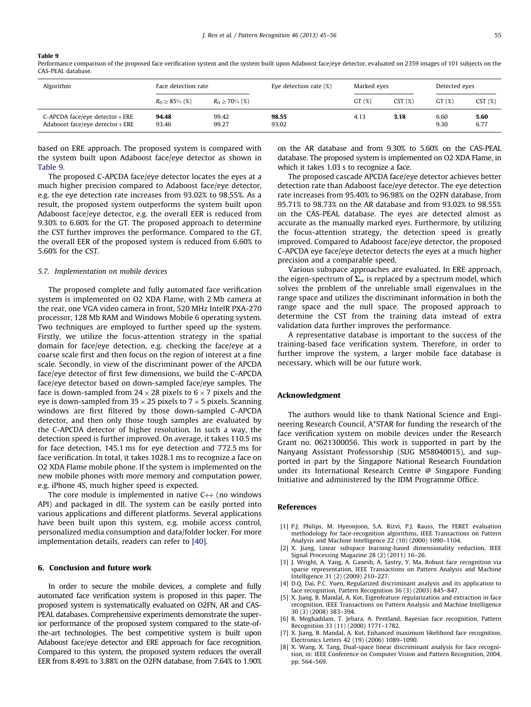#### <span id="page-10-0"></span>Table 9

Performance comparison of the proposed face verification system and the system built upon Adaboost face/eye detector, evaluated on 2359 images of 101 subjects on the CAS-PEAL database.

| Algorithm                                                               | Face detection rate |                     | Eye detection rate $(\%)$ | Marked eyes |        | Detected eyes |              |
|-------------------------------------------------------------------------|---------------------|---------------------|---------------------------|-------------|--------|---------------|--------------|
|                                                                         | $R_0 \geq 85\%$ (%) | $R_0 \geq 70\%$ (%) |                           | GT(%)       | CST(%) | GT(%)         | CST(%)       |
| C-APCDA face/eye detector + $ERE$<br>Adaboost face/eye detector + $ERE$ | 94.48<br>93.46      | 99.42<br>99.27      | 98.55<br>93.02            | 4.13        | 3.18   | 6.60<br>9.30  | 5.60<br>6.77 |

based on ERE approach. The proposed system is compared with the system built upon Adaboost face/eye detector as shown in Table 9.

The proposed C-APCDA face/eye detector locates the eyes at a much higher precision compared to Adaboost face/eye detector, e.g. the eye detection rate increases from 93.02% to 98.55%. As a result, the proposed system outperforms the system built upon Adaboost face/eye detector, e.g. the overall EER is reduced from 9.30% to 6.60% for the GT. The proposed approach to determine the CST further improves the performance. Compared to the GT, the overall EER of the proposed system is reduced from 6.60% to 5.60% for the CST.

#### 5.7. Implementation on mobile devices

The proposed complete and fully automated face verification system is implemented on O2 XDA Flame, with 2 Mb camera at the rear, one VGA video camera in front, 520 MHz IntelR PXA-270 processor, 128 Mb RAM and Windows Mobile 6 operating system. Two techniques are employed to further speed up the system. Firstly, we utilize the focus-attention strategy in the spatial domain for face/eye detection, e.g. checking the face/eye at a coarse scale first and then focus on the region of interest at a fine scale. Secondly, in view of the discriminant power of the APCDA face/eye detector of first few dimensions, we build the C-APCDA face/eye detector based on down-sampled face/eye samples. The face is down-sampled from  $24 \times 28$  pixels to  $6 \times 7$  pixels and the eye is down-sampled from  $35 \times 25$  pixels to  $7 \times 5$  pixels. Scanning windows are first filtered by those down-sampled C-APCDA detector, and then only those tough samples are evaluated by the C-APCDA detector of higher resolution. In such a way, the detection speed is further improved. On average, it takes 110.5 ms for face detection, 145.1 ms for eye detection and 772.5 ms for face verification. In total, it takes 1028.1 ms to recognize a face on O2 XDA Flame mobile phone. If the system is implemented on the new mobile phones with more memory and computation power, e.g. iPhone 4S, much higher speed is expected.

The core module is implemented in native  $C++$  (no windows API) and packaged in dll. The system can be easily ported into various applications and different platforms. Several applications have been built upon this system, e.g. mobile access control, personalized media consumption and data/folder locker. For more implementation details, readers can refer to [\[40\]](#page-11-0).

#### 6. Conclusion and future work

In order to secure the mobile devices, a complete and fully automated face verification system is proposed in this paper. The proposed system is systematically evaluated on O2FN, AR and CAS-PEAL databases. Comprehensive experiments demonstrate the superior performance of the proposed system compared to the state-ofthe-art technologies. The best competitive system is built upon Adaboost face/eye detector and ERE approach for face recognition. Compared to this system, the proposed system reduces the overall EER from 8.49% to 3.88% on the O2FN database, from 7.64% to 1.90% on the AR database and from 9.30% to 5.60% on the CAS-PEAL database. The proposed system is implemented on O2 XDA Flame, in which it takes 1.03 s to recognize a face.

The proposed cascade APCDA face/eye detector achieves better detection rate than Adaboost face/eye detector. The eye detection rate increases from 95.40% to 96.98% on the O2FN database, from 95.71% to 98.73% on the AR database and from 93.02% to 98.55% on the CAS-PEAL database. The eyes are detected almost as accurate as the manually marked eyes. Furthermore, by utilizing the focus-attention strategy, the detection speed is greatly improved. Compared to Adaboost face/eye detector, the proposed C-APCDA eye face/eye detector detects the eyes at a much higher precision and a comparable speed.

Various subspace approaches are evaluated. In ERE approach, the eigen-spectrum of  $\Sigma_w$  is replaced by a spectrum model, which solves the problem of the unreliable small eigenvalues in the range space and utilizes the discriminant information in both the range space and the null space. The proposed approach to determine the CST from the training data instead of extra validation data further improves the performance.

A representative database is important to the success of the training-based face verification system. Therefore, in order to further improve the system, a larger mobile face database is necessary, which will be our future work.

#### Acknowledgment

The authors would like to thank National Science and Engineering Research Council, A\*STAR for funding the research of the face verification system on mobile devices under the Research Grant no. 0621300056. This work is supported in part by the Nanyang Assistant Professorship (SUG M58040015), and supported in part by the Singapore National Research Foundation under its International Research Centre @ Singapore Funding Initiative and administered by the IDM Programme Office.

#### References

- [1] P.J. Philips, M. Hyeonjoon, S.A. Rizvi, P.J. Rauss, The FERET evaluation methodology for face-recognition algorithms, IEEE Transactions on Pattern Analysis and Machine Intelligence 22 (10) (2000) 1090–1104.
- [2] X. Jiang, Linear subspace learning-based dimensionality reduction, IEEE Signal Processing Magazine 28 (2) (2011) 16–26.
- [3] J. Wright, A. Yang, A. Ganesh, A. Sastry, Y. Ma, Robust face recognition via sparse representation, IEEE Transactions on Pattern Analysis and Machine Intelligence 31 (2) (2009) 210–227.
- [4] D.Q. Dai, P.C. Yuen, Regularized discriminant analysis and its application to face recognition, Pattern Recognition 36 (3) (2003) 845–847.
- [5] X. Jiang, B. Mandal, A. Kot, Eigenfeature regularization and extraction in face recognition, IEEE Transactions on Pattern Analysis and Machine Intelligence 30 (3) (2008) 383–394.
- [6] B. Moghaddam, T. Jebara, A. Pentland, Bayesian face recognition, Pattern Recognition 33 (11) (2000) 1771–1782.
- X. Jiang, B. Mandal, A. Kot, Enhanced maximum likelihood face recognition, Electronics Letters 42 (19) (2006) 1089–1090.
- X. Wang, X. Tang, Dual-space linear discriminant analysis for face recognition, in: IEEE Conference on Computer Vision and Pattern Recognition, 2004, pp. 564–569.